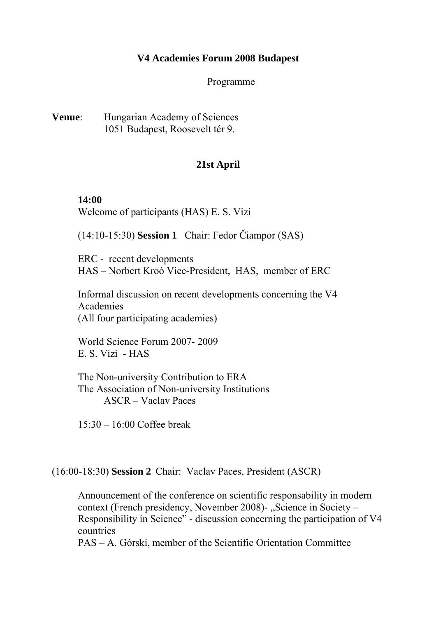## **V4 Academies Forum 2008 Budapest**

Programme

**Venue**: Hungarian Academy of Sciences 1051 Budapest, Roosevelt tér 9.

## **21st April**

## **14:00**

Welcome of participants (HAS) E. S. Vizi

(14:10-15:30) **Session 1** Chair: Fedor Čiampor (SAS)

ERC - recent developments HAS – Norbert Kroó Vice-President, HAS, member of ERC

Informal discussion on recent developments concerning the V4 Academies (All four participating academies)

World Science Forum 2007- 2009 E. S. Vizi - HAS

The Non-university Contribution to ERA The Association of Non-university Institutions ASCR – Vaclav Paces

15:30 – 16:00 Coffee break

(16:00-18:30) **Session 2** Chair: Vaclav Paces, President (ASCR)

Announcement of the conference on scientific responsability in modern context (French presidency, November 2008)-, Science in Society – Responsibility in Science" - discussion concerning the participation of V4 countries

PAS – A. Górski, member of the Scientific Orientation Committee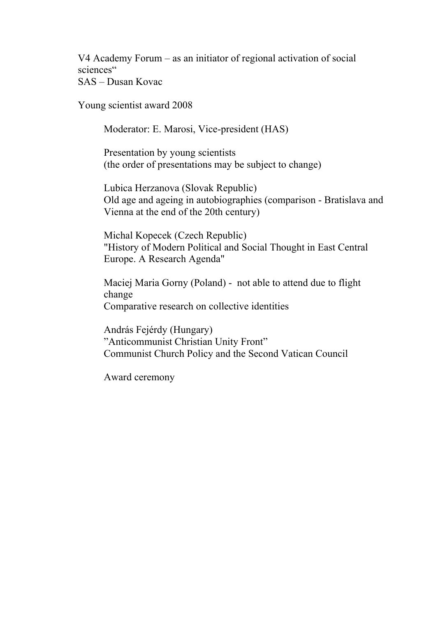V4 Academy Forum – as an initiator of regional activation of social sciences"

SAS – Dusan Kovac

Young scientist award 2008

Moderator: E. Marosi, Vice-president (HAS)

 Presentation by young scientists (the order of presentations may be subject to change)

Lubica Herzanova (Slovak Republic) Old age and ageing in autobiographies (comparison - Bratislava and Vienna at the end of the 20th century)

Michal Kopecek (Czech Republic) "History of Modern Political and Social Thought in East Central Europe. A Research Agenda"

Maciej Maria Gorny (Poland) - not able to attend due to flight change Comparative research on collective identities

András Fejérdy (Hungary) "Anticommunist Christian Unity Front" Communist Church Policy and the Second Vatican Council

Award ceremony